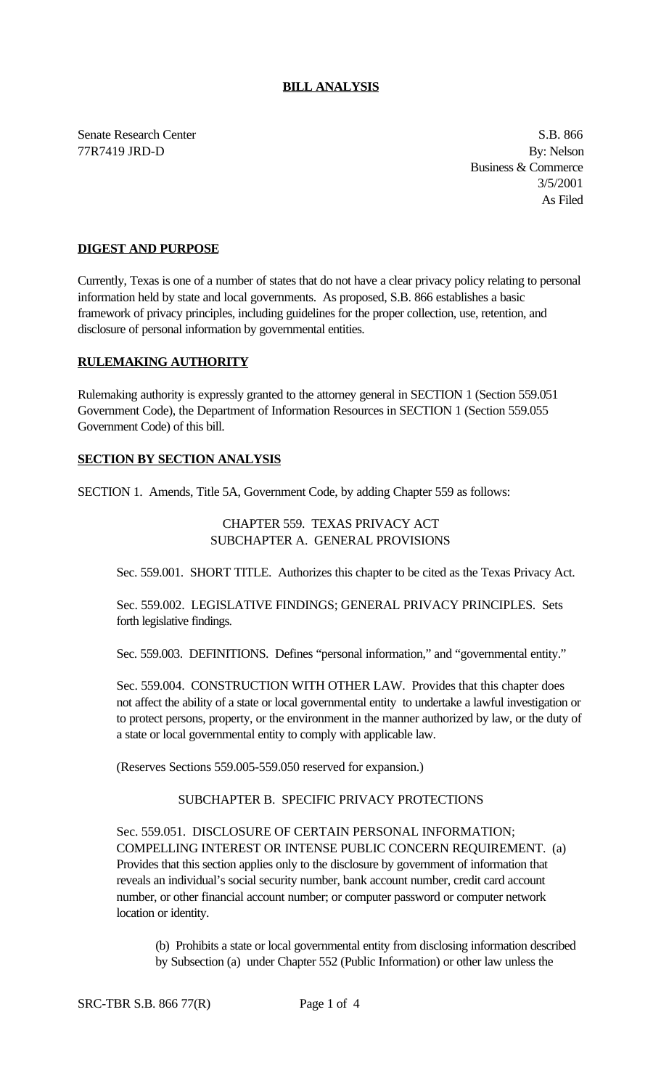#### **BILL ANALYSIS**

Senate Research Center S.B. 866 77R7419 JRD-D By: Nelson

Business & Commerce 3/5/2001 As Filed

## **DIGEST AND PURPOSE**

Currently, Texas is one of a number of states that do not have a clear privacy policy relating to personal information held by state and local governments. As proposed, S.B. 866 establishes a basic framework of privacy principles, including guidelines for the proper collection, use, retention, and disclosure of personal information by governmental entities.

#### **RULEMAKING AUTHORITY**

Rulemaking authority is expressly granted to the attorney general in SECTION 1 (Section 559.051 Government Code), the Department of Information Resources in SECTION 1 (Section 559.055 Government Code) of this bill.

## **SECTION BY SECTION ANALYSIS**

SECTION 1. Amends, Title 5A, Government Code, by adding Chapter 559 as follows:

## CHAPTER 559. TEXAS PRIVACY ACT SUBCHAPTER A. GENERAL PROVISIONS

Sec. 559.001. SHORT TITLE. Authorizes this chapter to be cited as the Texas Privacy Act.

Sec. 559.002. LEGISLATIVE FINDINGS; GENERAL PRIVACY PRINCIPLES. Sets forth legislative findings.

Sec. 559.003. DEFINITIONS. Defines "personal information," and "governmental entity."

Sec. 559.004. CONSTRUCTION WITH OTHER LAW. Provides that this chapter does not affect the ability of a state or local governmental entity to undertake a lawful investigation or to protect persons, property, or the environment in the manner authorized by law, or the duty of a state or local governmental entity to comply with applicable law.

(Reserves Sections 559.005-559.050 reserved for expansion.)

# SUBCHAPTER B. SPECIFIC PRIVACY PROTECTIONS

Sec. 559.051. DISCLOSURE OF CERTAIN PERSONAL INFORMATION; COMPELLING INTEREST OR INTENSE PUBLIC CONCERN REQUIREMENT. (a) Provides that this section applies only to the disclosure by government of information that reveals an individual's social security number, bank account number, credit card account number, or other financial account number; or computer password or computer network location or identity.

(b) Prohibits a state or local governmental entity from disclosing information described by Subsection (a) under Chapter 552 (Public Information) or other law unless the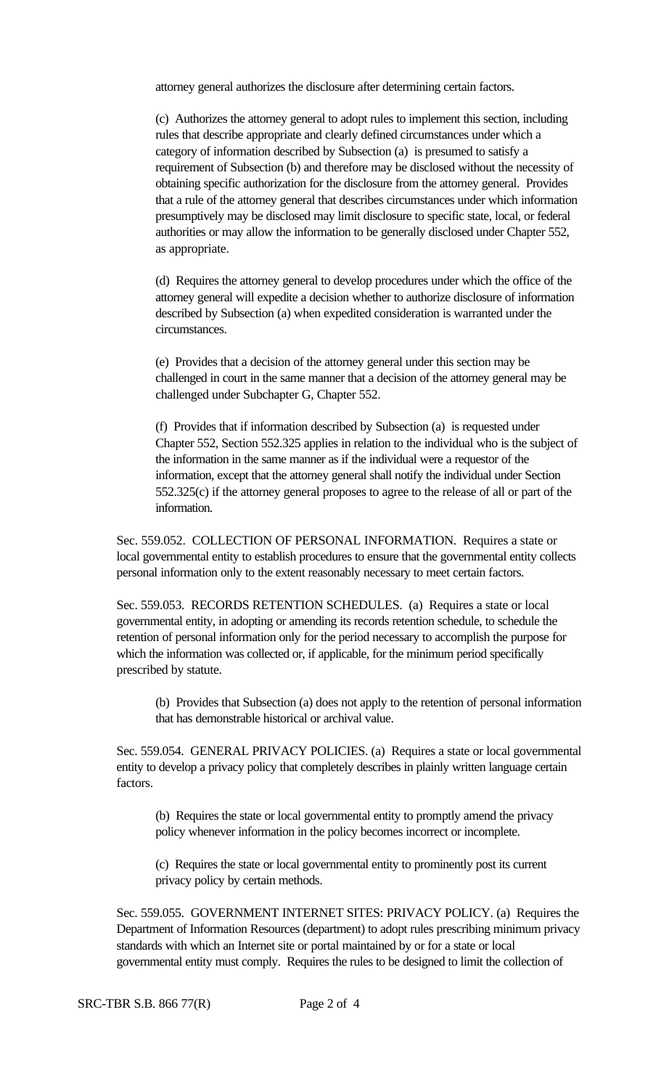attorney general authorizes the disclosure after determining certain factors.

(c) Authorizes the attorney general to adopt rules to implement this section, including rules that describe appropriate and clearly defined circumstances under which a category of information described by Subsection (a) is presumed to satisfy a requirement of Subsection (b) and therefore may be disclosed without the necessity of obtaining specific authorization for the disclosure from the attorney general. Provides that a rule of the attorney general that describes circumstances under which information presumptively may be disclosed may limit disclosure to specific state, local, or federal authorities or may allow the information to be generally disclosed under Chapter 552, as appropriate.

(d) Requires the attorney general to develop procedures under which the office of the attorney general will expedite a decision whether to authorize disclosure of information described by Subsection (a) when expedited consideration is warranted under the circumstances.

(e) Provides that a decision of the attorney general under this section may be challenged in court in the same manner that a decision of the attorney general may be challenged under Subchapter G, Chapter 552.

(f) Provides that if information described by Subsection (a) is requested under Chapter 552, Section 552.325 applies in relation to the individual who is the subject of the information in the same manner as if the individual were a requestor of the information, except that the attorney general shall notify the individual under Section 552.325(c) if the attorney general proposes to agree to the release of all or part of the information.

Sec. 559.052. COLLECTION OF PERSONAL INFORMATION. Requires a state or local governmental entity to establish procedures to ensure that the governmental entity collects personal information only to the extent reasonably necessary to meet certain factors.

Sec. 559.053. RECORDS RETENTION SCHEDULES. (a) Requires a state or local governmental entity, in adopting or amending its records retention schedule, to schedule the retention of personal information only for the period necessary to accomplish the purpose for which the information was collected or, if applicable, for the minimum period specifically prescribed by statute.

(b) Provides that Subsection (a) does not apply to the retention of personal information that has demonstrable historical or archival value.

Sec. 559.054. GENERAL PRIVACY POLICIES. (a) Requires a state or local governmental entity to develop a privacy policy that completely describes in plainly written language certain factors.

(b) Requires the state or local governmental entity to promptly amend the privacy policy whenever information in the policy becomes incorrect or incomplete.

(c) Requires the state or local governmental entity to prominently post its current privacy policy by certain methods.

Sec. 559.055. GOVERNMENT INTERNET SITES: PRIVACY POLICY. (a) Requires the Department of Information Resources (department) to adopt rules prescribing minimum privacy standards with which an Internet site or portal maintained by or for a state or local governmental entity must comply. Requires the rules to be designed to limit the collection of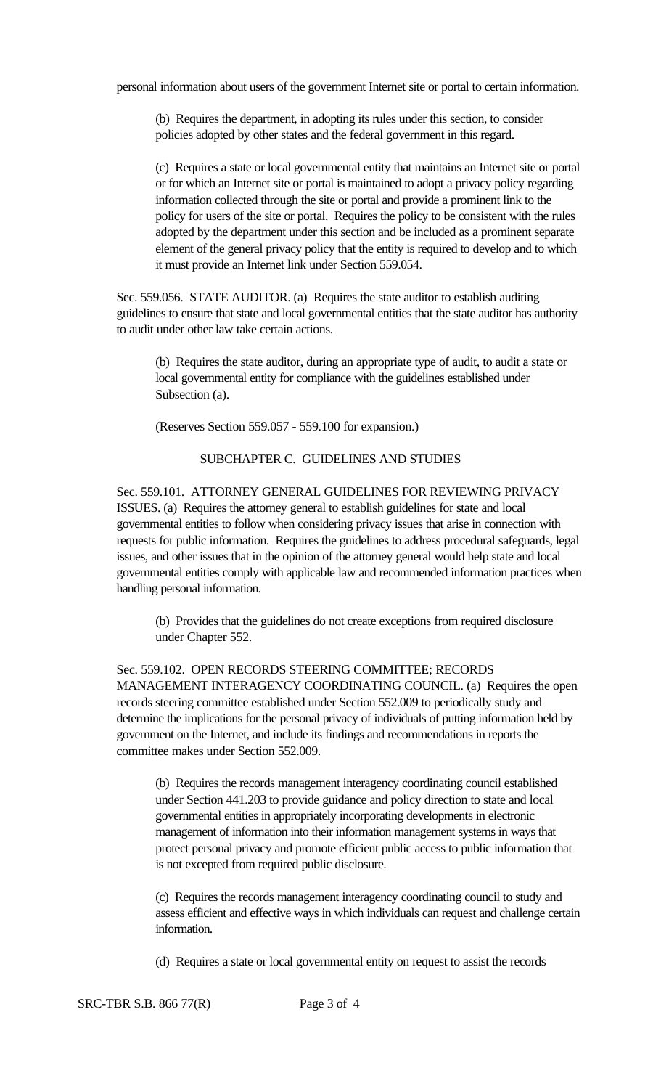personal information about users of the government Internet site or portal to certain information.

(b) Requires the department, in adopting its rules under this section, to consider policies adopted by other states and the federal government in this regard.

(c) Requires a state or local governmental entity that maintains an Internet site or portal or for which an Internet site or portal is maintained to adopt a privacy policy regarding information collected through the site or portal and provide a prominent link to the policy for users of the site or portal. Requires the policy to be consistent with the rules adopted by the department under this section and be included as a prominent separate element of the general privacy policy that the entity is required to develop and to which it must provide an Internet link under Section 559.054.

Sec. 559.056. STATE AUDITOR. (a) Requires the state auditor to establish auditing guidelines to ensure that state and local governmental entities that the state auditor has authority to audit under other law take certain actions.

(b) Requires the state auditor, during an appropriate type of audit, to audit a state or local governmental entity for compliance with the guidelines established under Subsection (a).

(Reserves Section 559.057 - 559.100 for expansion.)

## SUBCHAPTER C. GUIDELINES AND STUDIES

Sec. 559.101. ATTORNEY GENERAL GUIDELINES FOR REVIEWING PRIVACY ISSUES. (a) Requires the attorney general to establish guidelines for state and local governmental entities to follow when considering privacy issues that arise in connection with requests for public information. Requires the guidelines to address procedural safeguards, legal issues, and other issues that in the opinion of the attorney general would help state and local governmental entities comply with applicable law and recommended information practices when handling personal information.

(b) Provides that the guidelines do not create exceptions from required disclosure under Chapter 552.

Sec. 559.102. OPEN RECORDS STEERING COMMITTEE; RECORDS MANAGEMENT INTERAGENCY COORDINATING COUNCIL. (a) Requires the open records steering committee established under Section 552.009 to periodically study and determine the implications for the personal privacy of individuals of putting information held by government on the Internet, and include its findings and recommendations in reports the committee makes under Section 552.009.

(b) Requires the records management interagency coordinating council established under Section 441.203 to provide guidance and policy direction to state and local governmental entities in appropriately incorporating developments in electronic management of information into their information management systems in ways that protect personal privacy and promote efficient public access to public information that is not excepted from required public disclosure.

(c) Requires the records management interagency coordinating council to study and assess efficient and effective ways in which individuals can request and challenge certain information.

(d) Requires a state or local governmental entity on request to assist the records